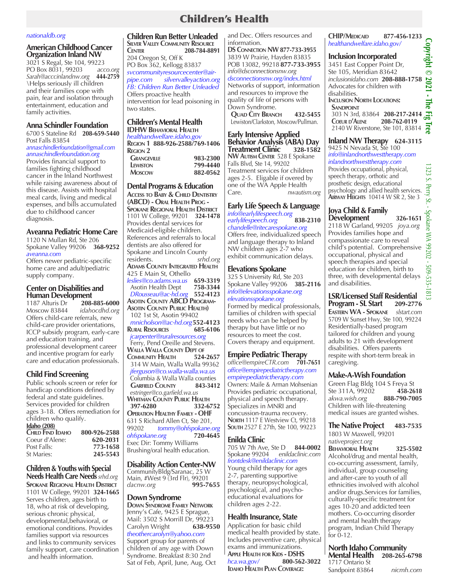# Children's Health

### *nationaldb.org*

**American Childhood Cancer Organization Inland NW**

3021 S Regal, Ste 104, 99223<br>PO Box 8031, 99203 acco.org PO Box 8031, 99203 *acco.org Sarah@acccinlandnw.org* **444-2759** \Helps seriously ill children and their families cope with pain, fear and isolation through entertainment, education and family activities.

### **Anna Schindler Foundation**

6700 S Stateline Rd **208-659-5440** Post Falls 83854

*annaschindlerfoundation@gmail.com annaschindlerfoundation.org* Provides financial support to families fighting childhood cancer in the Inland Northwest while raising awareness about of this disease. Assists with hospital meal cards, living and medical expenses, and bills accumulated due to childhood cancer diagnosis.

### **Aveanna Pediatric Home Care**

1120 N Mullan Rd, Ste 206 Spokane Valley 99206 **368-9252** *aveanna.com*

Offers newer pediatric-specific home care and adult/pediatric supply company.

# **Center on Disabilities and**

**Human Development**<br>1187 Alturis Dr 208-885-6000 1187 Alturis Dr Moscow 83844 *idahocdhd.org* Offers child-care referrals, new child-care provider orientations, ICCP subsidy program, early-care and education training, and professional development career and incentive program for early care and education professionals.

### **Child Find Screening**

Public schools screen or refer for handicap conditions defined by federal and state guidelines. Services provided for children ages 3-18. Offers remediation for children who qualify.

| <b>Idaho</b> (208) |              |
|--------------------|--------------|
| CHILD FIND IDAHO   | 800-926-2588 |
| Coeur d'Alene:     | 620-2031     |
| Post Falls:        | 773-1658     |
| St Maries:         | 245-5543     |

**Children & Youths with Special Needs Health Care Needs** *srhd.org*  **Spokane Regional Health District** 1101 W College, 99201 **324-1665** Serves children, ages birth to 18, who at risk of developing, serious chronic physical, developmental, behavioral, or emotional conditions. Provides families support via resources and links to community services family support, care coordination and health information.

#### **Children Run Better Unleaded Silver Valley Community Resource**

**Center 208-784-8891** 204 Oregon St, Off K PO Box 362, Kellogg 83837 *svcommunityresourcecenter@airpipe.com silvervalleyaction.org FB: Children Run Better Unleaded* Offers proactive health intervention for lead poisoning in two states.

# **Children's Mental Health**

**IDHW Behavioral Health** *healthandwelfare.idaho.gov* **Region 1 888-926-2588/769-1406 GRANGEVILLE** 983-2300<br> **LEWISTON** 799-4440  **Lewiston 799-4440 Moscow 882-0562**

### **Dental Programs & Education**

**Access to Baby & Child Dentistry SPOKANE REGIONAL HEALTH DISTRICT** 1101 W College, 99201 **324-1478** Provides dental services for Medicaid-eligible children. References and referrals to local dentists are also offered for Spokane and Lincoln County residents. *srhd.org* **Adams County Integrated Health** 425 E Main St, Othello *leslies@co.adams.wa.us* **659-3319** Asotin Health Dept **758-3344**  *DRousseau@ac-hd.org* **552-4123 Asotin County ABCD Program- Asotin County Public Health)** 102 1st St, Asotin 99402  *mnicholson@ac-hd.org***552-4123 Rural Resources 685-6106**  *jcarpenter@ruralresources.org* Ferry, Pend Oreille and Stevens. **WALLA WALLA COUNTY DEPT OF**<br>COMMUNITY **HEALTH** 524-2657 **Community Health 524-2657** 314 W Main, Walla Walla 99362  *jferguson@co.walla-walla.wa.us* Columbia & Walla Walla counties  **Garfield County 843-3412**  *estringer@co.garfield.wa.us* **Whitman County Public Health 397-6280 332-6752 Operation Healthy Family - OHF** 631 S Richard Allen Ct, Ste 201, 99202 *tommy@ohfspokane.org ohfspokane.org* **720-4645** Exec Dir: Tommy Williams Brushing/oral health education.

### **Disability Action Center-NW**

CommunityBldg/Saranac, 25 W Main, #West 9 (3rd Flr), 99201<br>dacnw.org **995-7655** dacnw.org

### **Down Syndrome**

**Down Syndrome Family Network** Jenny's Cafe, 9425 E Sprague, Mail: 3502 S Morrill Dr, 99223 Carolyn Wright **638-9550** *theothercarolyn@yahoo.com* Support group for parents of children of any age with Down Syndrome. Breakfast 8:30 2nd Sat of Feb, April, June, Aug, Oct

and Dec. Offers resources and information.

**DS Connection NW 877-733-3955** 3839 W Prairie, Hayden 83835 POB 13082, 99218 **877-733-3955** *info@dsconnectionsnw.org dsconnectionsnw.org/index.html* Networks of support, information and resources to improve the quality of life of persons with Down Syndrome.

 **Quad City Branch 432-5455** Lewiston/Clarkston, Moscow/Pullman.

### **Early Intensive Applied Behavior Analysis (ABA) Day Treatment Clinic NW Autism Center** 528 E Spokane Falls Blvd, Ste 14, 99202 Treatment services for children ages 2-5. Eligable if overed by one of the WA Apple Health Care. *nwautism.org*

# **Early Life Speech & Language**

*info@earlylifespeech.org*  $e$ *arlylifespeech.org chandelle@ritecarespokane.org* Offers free, individualized speech and language therapy to Inland NW children ages 2-7 who exhibit communication delays.

### **Elevations Spokane**

325 S University Rd, Ste 203 Spokane Valley 99206 **385-2116** *info@elevationsspokane.org elevationsspokane.org* Formed by medical professionals, families of children with special needs who can be helped by therapy but have little or no resources to meet the cost. Covers therapy and equipment.

# **Empire Pediatric Therapy**

*office@empireCTR.com* **701-7651** *office@empirepediatrictherapy.com empirepediatrictherapy.com* Owners: Maile & Arman Mohsenian Provides pediatric occupational, physical and speech therapy. Specializes in MNRI and concussion-trauma recovery. **NORTH** 1117 E Westview Ct, 99218 **South** 2527 E 27th, Ste 100, 99223

### **Enilda Clinic**

705 W 7th Ave, Ste D **844-0002** Spokane 99204 *frontdesk@enildaclinic.com* Young child therapy for ages 2-7, parenting supportive therapy, neuropsychological, psychological, and psychoeducational evaluations for children ages 2-22.

### **Health Insurance, State**

Application for basic child medical health provided by state. Includes preventive care, physical exams and immunizations. **Apple Health for Kids - DSHS** *hca.wa.gov/* **800-562-3022 Idaho Health Plan Coverage:** 

# *healthandwelfare.idaho.gov/*

# **Inclusion Incorporated**

**Copyright © 2021 - The Fig Tree CHIP/MEDICAID** 877-456-1233<br> *healthandwelfare.idaho.gov/*<br> **Inclusion Incorporated**<br>
3451 East Copper Point Dr,<br>
Ste 105, Meridian 83642<br> *inclusionidaho.com* **208-888-1758**<br>
Advocates for children with<br>
disabilities. 3451 East Copper Point Dr, Ste 105, Meridian 83642 *inclusionidaho.com* **208-888-1758** Advocates for children with disabilities.<br>Inclusion North Locations: **Inclusion North Locations: SANDPOINT**  303 N 3rd, 83864 **208-217-2414 Coeur d'Alene 208-762-0119** 2140 W Riverstone, Ste 101, 83814

**Inland NW Therapy 624-3115** 9425 N Nevada St, Ste 100 *info@inlandnorthwesttherapy.com inlandnorthwesttherapy.com* Provides occupational, physical, speech therapy, orthotic and prosthetic design, educational psychology and allied health services. **Airway Heights** 10414 W SR 2, Ste 3

# **Joya Child & Family Development 326-1651**

2118 W Garland, 99205 *joya.org* Provides families hope and compassionate care to reveal child's potential. Comprehensive occupational, physical and speech therapies and special education for children, birth to three, with developmental delays and disabilities.

## **LSR/Licensed Staff Residential Program - SL Start 209-2776**

**Eastern WA - Spokane** *slstart.com* 5709 W Sunset Hwy, Ste 100, 99224 Residentially-based program tailored for children and young adults to 21 with development disabilities. Offers parents respite with short-term break in caregiving.

### **Make-A-Wish Foundation**

Green Flag Bldg 104 S Freya St Ste 311A, 99202 **458-2618** *akwa.wish.org* **888-790-7005**  Children with life-threatening medical issues are granted wishes.

### **The Native Project 483-7535** 1803 W Maxwell, 99201 *nativeproject.org*

**Behavioral Health 325-5502** Alcohol/drug and mental health, co-occurring assessment, family, individual, group counseling and after-care to youth of all ethnicities involved with alcohol and/or drugs.Services for families, culturally-specific treatment for ages 10-20 and addicted teen mothers. Co-occurring disorder and mental health therapy program, Indian Child Therapy for 0-12.

### **North Idaho Community Mental Health 208-265-6798** 1717 Ontario St

Sandpoint 83864 *nicmh.com*